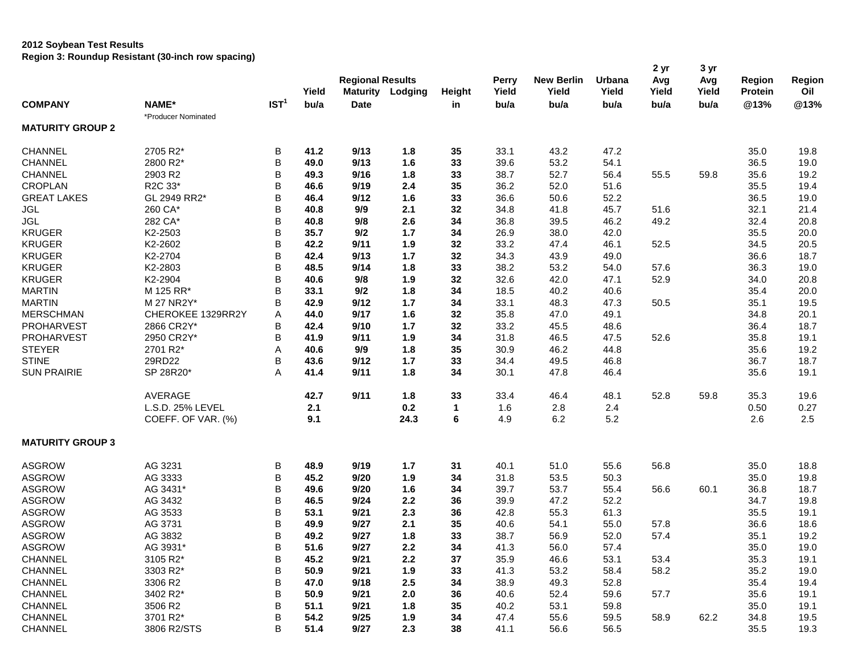### **2012 Soybean Test Results**

**Region 3: Roundup Resistant (30-inch row spacing)**

|                         |                     |                  |       |                         |         |               |       |                   |        | 2 yr  | 3 yr  |               |        |
|-------------------------|---------------------|------------------|-------|-------------------------|---------|---------------|-------|-------------------|--------|-------|-------|---------------|--------|
|                         |                     |                  |       | <b>Regional Results</b> |         |               | Perry | <b>New Berlin</b> | Urbana | Avg   | Avg   | <b>Region</b> | Region |
|                         |                     |                  | Yield | <b>Maturity</b>         | Lodging | <b>Height</b> | Yield | Yield             | Yield  | Yield | Yield | Protein       | Oil    |
| <b>COMPANY</b>          | NAME*               | IST <sup>1</sup> | bu/a  | <b>Date</b>             |         | in            | bu/a  | bu/a              | bu/a   | bu/a  | bu/a  | @13%          | @13%   |
|                         | *Producer Nominated |                  |       |                         |         |               |       |                   |        |       |       |               |        |
| <b>MATURITY GROUP 2</b> |                     |                  |       |                         |         |               |       |                   |        |       |       |               |        |
| <b>CHANNEL</b>          | 2705 R2*            | B                | 41.2  | 9/13                    | 1.8     | 35            | 33.1  | 43.2              | 47.2   |       |       | 35.0          | 19.8   |
| <b>CHANNEL</b>          | 2800 R2*            | B                | 49.0  | 9/13                    | 1.6     | 33            | 39.6  | 53.2              | 54.1   |       |       | 36.5          | 19.0   |
| <b>CHANNEL</b>          | 2903 R2             | B                | 49.3  | 9/16                    | 1.8     | 33            | 38.7  | 52.7              | 56.4   | 55.5  | 59.8  | 35.6          | 19.2   |
| <b>CROPLAN</b>          | R2C 33*             | B                | 46.6  | 9/19                    | 2.4     | 35            | 36.2  | 52.0              | 51.6   |       |       | 35.5          | 19.4   |
| <b>GREAT LAKES</b>      | GL 2949 RR2*        | B                | 46.4  | 9/12                    | 1.6     | 33            | 36.6  | 50.6              | 52.2   |       |       | 36.5          | 19.0   |
| <b>JGL</b>              | 260 CA*             | B                | 40.8  | 9/9                     | 2.1     | 32            | 34.8  | 41.8              | 45.7   | 51.6  |       | 32.1          | 21.4   |
| <b>JGL</b>              | 282 CA*             | B                | 40.8  | 9/8                     | 2.6     | 34            | 36.8  | 39.5              | 46.2   | 49.2  |       | 32.4          | 20.8   |
| <b>KRUGER</b>           | K2-2503             | B                | 35.7  | 9/2                     | 1.7     | 34            | 26.9  | 38.0              | 42.0   |       |       | 35.5          | 20.0   |
| <b>KRUGER</b>           | K2-2602             | B                | 42.2  | 9/11                    | 1.9     | 32            | 33.2  | 47.4              | 46.1   | 52.5  |       | 34.5          | 20.5   |
| <b>KRUGER</b>           | K2-2704             | B                | 42.4  | 9/13                    | 1.7     | 32            | 34.3  | 43.9              | 49.0   |       |       | 36.6          | 18.7   |
| <b>KRUGER</b>           | K2-2803             | B                | 48.5  | 9/14                    | 1.8     | 33            | 38.2  | 53.2              | 54.0   | 57.6  |       | 36.3          | 19.0   |
| <b>KRUGER</b>           | K2-2904             | B                | 40.6  | 9/8                     | 1.9     | 32            | 32.6  | 42.0              | 47.1   | 52.9  |       | 34.0          | 20.8   |
| <b>MARTIN</b>           | M 125 RR*           | B                | 33.1  | 9/2                     | 1.8     | 34            | 18.5  | 40.2              | 40.6   |       |       | 35.4          | 20.0   |
| <b>MARTIN</b>           | M 27 NR2Y*          | B                | 42.9  | 9/12                    | 1.7     | 34            | 33.1  | 48.3              | 47.3   | 50.5  |       | 35.1          | 19.5   |
| <b>MERSCHMAN</b>        | CHEROKEE 1329RR2Y   | Α                | 44.0  | 9/17                    | 1.6     | 32            | 35.8  | 47.0              | 49.1   |       |       | 34.8          | 20.1   |
| PROHARVEST              | 2866 CR2Y*          | B                | 42.4  | 9/10                    | 1.7     | 32            | 33.2  | 45.5              | 48.6   |       |       | 36.4          | 18.7   |
| PROHARVEST              | 2950 CR2Y*          | B                | 41.9  | 9/11                    | 1.9     | 34            | 31.8  | 46.5              | 47.5   | 52.6  |       | 35.8          | 19.1   |
| <b>STEYER</b>           | 2701 R2*            | А                | 40.6  | 9/9                     | 1.8     | 35            | 30.9  | 46.2              | 44.8   |       |       | 35.6          | 19.2   |
| <b>STINE</b>            | 29RD22              | В                | 43.6  | 9/12                    | 1.7     | 33            | 34.4  | 49.5              | 46.8   |       |       | 36.7          | 18.7   |
| <b>SUN PRAIRIE</b>      | SP 28R20*           | A                | 41.4  | 9/11                    | 1.8     | 34            | 30.1  | 47.8              | 46.4   |       |       | 35.6          | 19.1   |
|                         |                     |                  |       |                         |         |               |       |                   |        |       |       |               |        |
|                         | <b>AVERAGE</b>      |                  | 42.7  | 9/11                    | 1.8     | 33            | 33.4  | 46.4              | 48.1   | 52.8  | 59.8  | 35.3          | 19.6   |
|                         | L.S.D. 25% LEVEL    |                  | 2.1   |                         | 0.2     | 1             | 1.6   | 2.8               | 2.4    |       |       | 0.50          | 0.27   |
|                         | COEFF. OF VAR. (%)  |                  | 9.1   |                         | 24.3    | 6             | 4.9   | 6.2               | 5.2    |       |       | 2.6           | 2.5    |
| <b>MATURITY GROUP 3</b> |                     |                  |       |                         |         |               |       |                   |        |       |       |               |        |
| <b>ASGROW</b>           | AG 3231             | B                | 48.9  | 9/19                    | 1.7     | 31            | 40.1  | 51.0              | 55.6   | 56.8  |       | 35.0          | 18.8   |
| <b>ASGROW</b>           | AG 3333             | B                | 45.2  | 9/20                    | 1.9     | 34            | 31.8  | 53.5              | 50.3   |       |       | 35.0          | 19.8   |
| <b>ASGROW</b>           | AG 3431*            | B                | 49.6  | 9/20                    | 1.6     | 34            | 39.7  | 53.7              | 55.4   | 56.6  | 60.1  | 36.8          | 18.7   |
| <b>ASGROW</b>           | AG 3432             | B                | 46.5  | 9/24                    | 2.2     | 36            | 39.9  | 47.2              | 52.2   |       |       | 34.7          | 19.8   |
| <b>ASGROW</b>           | AG 3533             | B                | 53.1  | 9/21                    | 2.3     | 36            | 42.8  | 55.3              | 61.3   |       |       | 35.5          | 19.1   |
| <b>ASGROW</b>           | AG 3731             | B                | 49.9  | 9/27                    | 2.1     | 35            | 40.6  | 54.1              | 55.0   | 57.8  |       | 36.6          | 18.6   |
| <b>ASGROW</b>           | AG 3832             | B                | 49.2  | 9/27                    | 1.8     | 33            | 38.7  | 56.9              | 52.0   | 57.4  |       | 35.1          | 19.2   |
| ASGROW                  | AG 3931*            | В                | 51.6  | 9/27                    | $2.2\,$ | $34$          | 41.3  | 56.0              | 57.4   |       |       | 35.0          | 19.0   |
| <b>CHANNEL</b>          | 3105 R2*            | B                | 45.2  | 9/21                    | 2.2     | 37            | 35.9  | 46.6              | 53.1   | 53.4  |       | 35.3          | 19.1   |
| CHANNEL                 | 3303 R2*            | B                | 50.9  | 9/21                    | 1.9     | 33            | 41.3  | 53.2              | 58.4   | 58.2  |       | 35.2          | 19.0   |
| CHANNEL                 | 3306 R2             | B                | 47.0  | 9/18                    | 2.5     | 34            | 38.9  | 49.3              | 52.8   |       |       | 35.4          | 19.4   |
| CHANNEL                 | 3402 R2*            | B                | 50.9  | 9/21                    | 2.0     | 36            | 40.6  | 52.4              | 59.6   | 57.7  |       | 35.6          | 19.1   |
| CHANNEL                 | 3506 R2             | B                | 51.1  | 9/21                    | 1.8     | 35            | 40.2  | 53.1              | 59.8   |       |       | 35.0          | 19.1   |
| CHANNEL                 | 3701 R2*            | B                | 54.2  | 9/25                    | 1.9     | 34            | 47.4  | 55.6              | 59.5   | 58.9  | 62.2  | 34.8          | 19.5   |
| CHANNEL                 | 3806 R2/STS         | В                | 51.4  | 9/27                    | 2.3     | 38            | 41.1  | 56.6              | 56.5   |       |       | 35.5          | 19.3   |
|                         |                     |                  |       |                         |         |               |       |                   |        |       |       |               |        |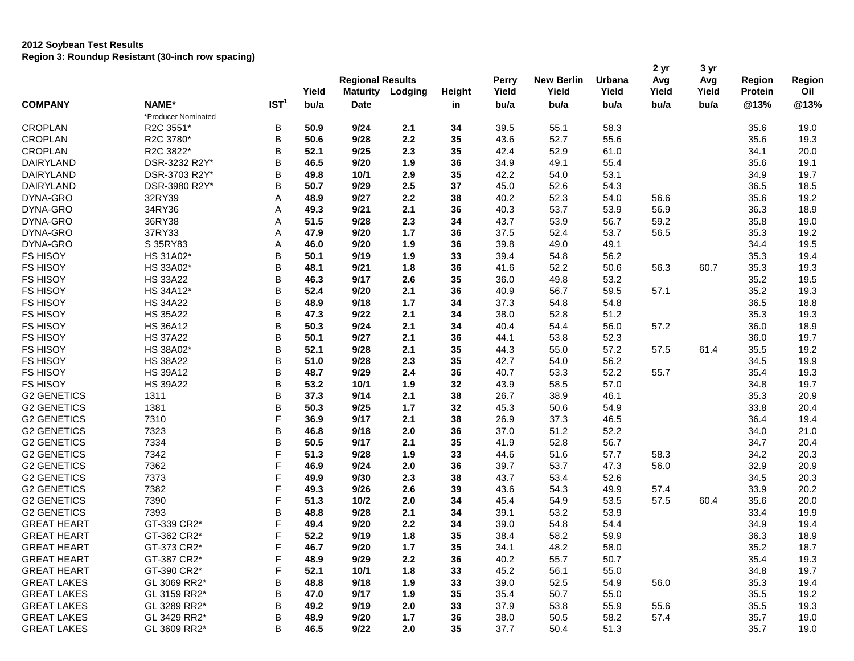|                    |                     |                  |       | <b>Regional Results</b> |         |        | Perry | <b>New Berlin</b> | Urbana | 2 yr<br>Avg | 3 yr<br>Avg | <b>Region</b>  | Region      |
|--------------------|---------------------|------------------|-------|-------------------------|---------|--------|-------|-------------------|--------|-------------|-------------|----------------|-------------|
|                    |                     |                  | Yield | <b>Maturity</b>         | Lodging | Height | Yield | Yield             | Yield  | Yield       | Yield       | <b>Protein</b> | Oil<br>@13% |
| <b>COMPANY</b>     | NAME*               | IST <sup>1</sup> | bu/a  | <b>Date</b>             |         | in     | bu/a  | bu/a              | bu/a   | bu/a        | bu/a        | @13%           |             |
|                    | *Producer Nominated |                  |       |                         |         |        |       |                   |        |             |             |                |             |
| <b>CROPLAN</b>     | R2C 3551*           | B                | 50.9  | 9/24                    | 2.1     | 34     | 39.5  | 55.1              | 58.3   |             |             | 35.6           | 19.0        |
| <b>CROPLAN</b>     | R2C 3780*           | В                | 50.6  | 9/28                    | 2.2     | 35     | 43.6  | 52.7              | 55.6   |             |             | 35.6           | 19.3        |
| <b>CROPLAN</b>     | R2C 3822*           | В                | 52.1  | 9/25                    | 2.3     | 35     | 42.4  | 52.9              | 61.0   |             |             | 34.1           | 20.0        |
| <b>DAIRYLAND</b>   | DSR-3232 R2Y*       | В                | 46.5  | 9/20                    | 1.9     | 36     | 34.9  | 49.1              | 55.4   |             |             | 35.6           | 19.1        |
| <b>DAIRYLAND</b>   | DSR-3703 R2Y*       | В                | 49.8  | 10/1                    | 2.9     | 35     | 42.2  | 54.0              | 53.1   |             |             | 34.9           | 19.7        |
| DAIRYLAND          | DSR-3980 R2Y*       | В                | 50.7  | 9/29                    | 2.5     | 37     | 45.0  | 52.6              | 54.3   |             |             | 36.5           | 18.5        |
| DYNA-GRO           | 32RY39              | Α                | 48.9  | 9/27                    | 2.2     | 38     | 40.2  | 52.3              | 54.0   | 56.6        |             | 35.6           | 19.2        |
| DYNA-GRO           | 34RY36              | Α                | 49.3  | 9/21                    | 2.1     | 36     | 40.3  | 53.7              | 53.9   | 56.9        |             | 36.3           | 18.9        |
| DYNA-GRO           | 36RY38              | Α                | 51.5  | 9/28                    | 2.3     | 34     | 43.7  | 53.9              | 56.7   | 59.2        |             | 35.8           | 19.0        |
| DYNA-GRO           | 37RY33              | Α                | 47.9  | 9/20                    | $1.7$   | 36     | 37.5  | 52.4              | 53.7   | 56.5        |             | 35.3           | 19.2        |
| DYNA-GRO           | S 35RY83            | Α                | 46.0  | 9/20                    | 1.9     | 36     | 39.8  | 49.0              | 49.1   |             |             | 34.4           | 19.5        |
| <b>FS HISOY</b>    | HS 31A02*           | В                | 50.1  | 9/19                    | 1.9     | 33     | 39.4  | 54.8              | 56.2   |             |             | 35.3           | 19.4        |
| <b>FS HISOY</b>    | HS 33A02*           | В                | 48.1  | 9/21                    | 1.8     | 36     | 41.6  | 52.2              | 50.6   | 56.3        | 60.7        | 35.3           | 19.3        |
| <b>FS HISOY</b>    | <b>HS 33A22</b>     | В                | 46.3  | 9/17                    | 2.6     | 35     | 36.0  | 49.8              | 53.2   |             |             | 35.2           | 19.5        |
| <b>FS HISOY</b>    | HS 34A12*           | В                | 52.4  | 9/20                    | 2.1     | 36     | 40.9  | 56.7              | 59.5   | 57.1        |             | 35.2           | 19.3        |
| <b>FS HISOY</b>    | <b>HS 34A22</b>     | В                | 48.9  | 9/18                    | $1.7$   | 34     | 37.3  | 54.8              | 54.8   |             |             | 36.5           | 18.8        |
| <b>FS HISOY</b>    | <b>HS 35A22</b>     | В                | 47.3  | 9/22                    | 2.1     | 34     | 38.0  | 52.8              | 51.2   |             |             | 35.3           | 19.3        |
| <b>FS HISOY</b>    | <b>HS 36A12</b>     | В                | 50.3  | 9/24                    | 2.1     | 34     | 40.4  | 54.4              | 56.0   | 57.2        |             | 36.0           | 18.9        |
| <b>FS HISOY</b>    | <b>HS 37A22</b>     | B                | 50.1  | 9/27                    | 2.1     | 36     | 44.1  | 53.8              | 52.3   |             |             | 36.0           | 19.7        |
| <b>FS HISOY</b>    | HS 38A02*           | В                | 52.1  | 9/28                    | 2.1     | 35     | 44.3  | 55.0              | 57.2   | 57.5        | 61.4        | 35.5           | 19.2        |
| <b>FS HISOY</b>    | <b>HS 38A22</b>     | В                | 51.0  | 9/28                    | 2.3     | 35     | 42.7  | 54.0              | 56.2   |             |             | 34.5           | 19.9        |
| <b>FS HISOY</b>    | <b>HS 39A12</b>     | В                | 48.7  | 9/29                    | 2.4     | 36     | 40.7  | 53.3              | 52.2   | 55.7        |             | 35.4           | 19.3        |
| <b>FS HISOY</b>    | <b>HS 39A22</b>     | В                | 53.2  | 10/1                    | 1.9     | 32     | 43.9  | 58.5              | 57.0   |             |             | 34.8           | 19.7        |
| <b>G2 GENETICS</b> | 1311                | В                | 37.3  | 9/14                    | 2.1     | 38     | 26.7  | 38.9              | 46.1   |             |             | 35.3           | 20.9        |
| <b>G2 GENETICS</b> | 1381                | В                | 50.3  | 9/25                    | 1.7     | 32     | 45.3  | 50.6              | 54.9   |             |             | 33.8           | 20.4        |
| <b>G2 GENETICS</b> | 7310                | F                | 36.9  | 9/17                    | 2.1     | 38     | 26.9  | 37.3              | 46.5   |             |             | 36.4           | 19.4        |
| <b>G2 GENETICS</b> | 7323                | В                | 46.8  | 9/18                    | 2.0     | 36     | 37.0  | 51.2              | 52.2   |             |             | 34.0           | 21.0        |
| <b>G2 GENETICS</b> | 7334                | В                | 50.5  | 9/17                    | 2.1     | 35     | 41.9  | 52.8              | 56.7   |             |             | 34.7           | 20.4        |
| <b>G2 GENETICS</b> | 7342                | F                | 51.3  | 9/28                    | 1.9     | 33     | 44.6  | 51.6              | 57.7   | 58.3        |             | 34.2           | 20.3        |
| <b>G2 GENETICS</b> | 7362                | F                | 46.9  | 9/24                    | 2.0     | 36     | 39.7  | 53.7              | 47.3   | 56.0        |             | 32.9           | 20.9        |
| <b>G2 GENETICS</b> | 7373                | F                | 49.9  | 9/30                    | 2.3     | 38     | 43.7  | 53.4              | 52.6   |             |             | 34.5           | 20.3        |
| <b>G2 GENETICS</b> | 7382                | F                | 49.3  | 9/26                    | 2.6     | 39     | 43.6  | 54.3              | 49.9   | 57.4        |             | 33.9           | 20.2        |
| <b>G2 GENETICS</b> | 7390                | F                | 51.3  | 10/2                    | 2.0     | 34     | 45.4  | 54.9              | 53.5   | 57.5        | 60.4        | 35.6           | 20.0        |
| <b>G2 GENETICS</b> | 7393                | В                | 48.8  | 9/28                    | 2.1     | 34     | 39.1  | 53.2              | 53.9   |             |             | 33.4           | 19.9        |
| <b>GREAT HEART</b> | GT-339 CR2*         | F                | 49.4  | 9/20                    | 2.2     | 34     | 39.0  | 54.8              | 54.4   |             |             | 34.9           | 19.4        |
| <b>GREAT HEART</b> | GT-362 CR2*         | F                | 52.2  | 9/19                    | 1.8     | 35     | 38.4  | 58.2              | 59.9   |             |             | 36.3           | 18.9        |
| <b>GREAT HEART</b> | GT-373 CR2*         | F                | 46.7  | 9/20                    | $1.7$   | 35     | 34.1  | 48.2              | 58.0   |             |             | 35.2           | 18.7        |
| <b>GREAT HEART</b> | GT-387 CR2*         | F                | 48.9  | 9/29                    | 2.2     | 36     | 40.2  | 55.7              | 50.7   |             |             | 35.4           | 19.3        |
| <b>GREAT HEART</b> | GT-390 CR2*         | F                | 52.1  | 10/1                    | 1.8     | 33     | 45.2  | 56.1              | 55.0   |             |             | 34.8           | 19.7        |
| <b>GREAT LAKES</b> | GL 3069 RR2*        | В                | 48.8  | 9/18                    | 1.9     | 33     | 39.0  | 52.5              | 54.9   | 56.0        |             | 35.3           | 19.4        |
| <b>GREAT LAKES</b> | GL 3159 RR2*        | B                | 47.0  | 9/17                    | 1.9     | 35     | 35.4  | 50.7              | 55.0   |             |             | 35.5           | 19.2        |
| <b>GREAT LAKES</b> | GL 3289 RR2*        | B                | 49.2  | 9/19                    | 2.0     | 33     | 37.9  | 53.8              | 55.9   | 55.6        |             | 35.5           | 19.3        |
| <b>GREAT LAKES</b> | GL 3429 RR2*        | В                | 48.9  | 9/20                    | $1.7$   | 36     | 38.0  | 50.5              | 58.2   | 57.4        |             | 35.7           | 19.0        |
| <b>GREAT LAKES</b> | GL 3609 RR2*        | B                | 46.5  | 9/22                    | 2.0     | 35     | 37.7  | 50.4              | 51.3   |             |             | 35.7           | 19.0        |
|                    |                     |                  |       |                         |         |        |       |                   |        |             |             |                |             |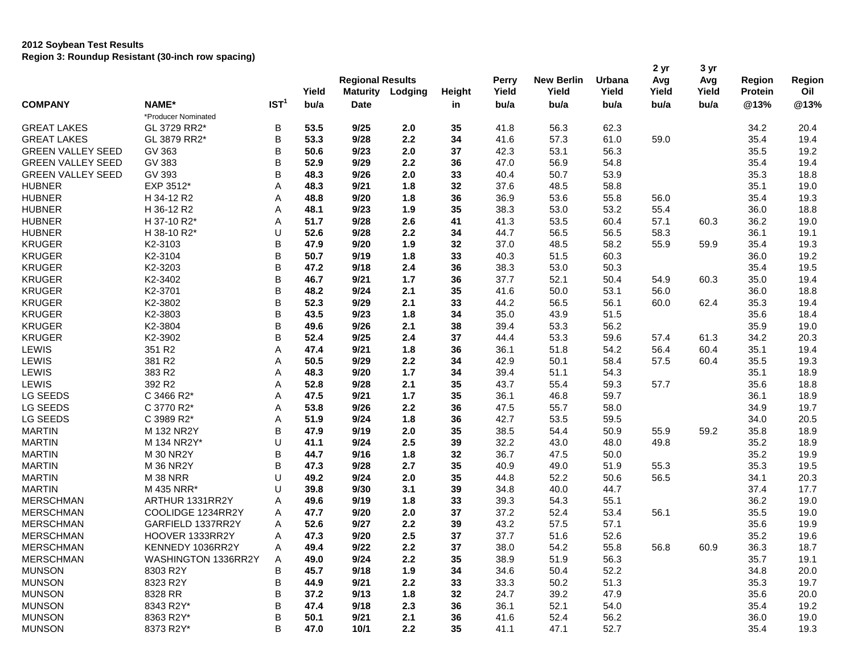| Yield<br><b>Maturity</b><br>Yield<br>Yield<br>Yield<br><b>Protein</b><br>Oil<br>Lodging<br>Height<br>IST <sup>1</sup><br><b>COMPANY</b><br>NAME*<br>bu/a<br>@13%<br>@13%<br><b>Date</b><br>bu/a<br>bu/a<br>bu/a<br>bu/a<br>bu/a<br>in<br>*Producer Nominated<br>GL 3729 RR2*<br>В<br>53.5<br>9/25<br>35<br>41.8<br>62.3<br>2.0<br>56.3<br>34.2<br>20.4<br>В<br>2.2<br>GL 3879 RR2*<br>53.3<br>9/28<br>34<br>41.6<br>57.3<br>61.0<br>59.0<br>35.4<br>19.4<br>В<br>37<br>GV 363<br>50.6<br>9/23<br>2.0<br>42.3<br>53.1<br>56.3<br>35.5<br>19.2<br>В<br><b>GREEN VALLEY SEED</b><br>GV 383<br>52.9<br>9/29<br>47.0<br>56.9<br>54.8<br>19.4<br>2.2<br>36<br>35.4<br>В<br>GV 393<br>48.3<br>9/26<br>2.0<br>40.4<br>50.7<br>53.9<br>18.8<br><b>GREEN VALLEY SEED</b><br>33<br>35.3<br>EXP 3512*<br>Α<br>48.3<br>1.8<br>32<br>37.6<br>48.5<br>58.8<br>19.0<br>9/21<br>35.1<br>H 34-12 R2<br>Α<br>48.8<br>9/20<br>1.8<br>36<br>36.9<br>53.6<br>55.8<br>56.0<br>35.4<br>19.3<br>35<br>H 36-12 R2<br>Α<br>48.1<br>9/23<br>1.9<br>38.3<br>53.0<br>53.2<br>55.4<br>36.0<br>18.8<br>H 37-10 R2*<br>Α<br>51.7<br>9/28<br>2.6<br>41.3<br>60.4<br>19.0<br>41<br>53.5<br>57.1<br>60.3<br>36.2<br>U<br>9/28<br>2.2<br>44.7<br>56.5<br>56.5<br>58.3<br>36.1<br>19.1<br>H 38-10 R2*<br>52.6<br>34<br>В<br><b>KRUGER</b><br>1.9<br>32<br>37.0<br>48.5<br>58.2<br>59.9<br>35.4<br>19.3<br>K2-3103<br>47.9<br>9/20<br>55.9<br>В<br>K2-3104<br>50.7<br>9/19<br>1.8<br>33<br>40.3<br>51.5<br>60.3<br>36.0<br>19.2<br><b>KRUGER</b><br>B<br>K2-3203<br>47.2<br>9/18<br>2.4<br>36<br>38.3<br>53.0<br>50.3<br>35.4<br>19.5<br><b>KRUGER</b><br>В<br>K2-3402<br>46.7<br>1.7<br>37.7<br>52.1<br>50.4<br>35.0<br>19.4<br>9/21<br>36<br>54.9<br>60.3<br>В<br><b>KRUGER</b><br>K2-3701<br>35<br>41.6<br>50.0<br>53.1<br>56.0<br>18.8<br>48.2<br>9/24<br>2.1<br>36.0<br>В<br><b>KRUGER</b><br>K2-3802<br>52.3<br>9/29<br>2.1<br>33<br>44.2<br>56.5<br>56.1<br>19.4<br>60.0<br>62.4<br>35.3<br>В<br><b>KRUGER</b><br>K2-3803<br>43.5<br>9/23<br>1.8<br>34<br>35.0<br>43.9<br>51.5<br>35.6<br>18.4<br><b>KRUGER</b><br>В<br>K2-3804<br>49.6<br>9/26<br>2.1<br>38<br>39.4<br>53.3<br>56.2<br>35.9<br>19.0<br><b>KRUGER</b><br>В<br>K2-3902<br>52.4<br>9/25<br>2.4<br>37<br>44.4<br>53.3<br>59.6<br>34.2<br>20.3<br>57.4<br>61.3<br>LEWIS<br>351 R2<br>Α<br>1.8<br>36.1<br>51.8<br>54.2<br>56.4<br>60.4<br>35.1<br>19.4<br>47.4<br>9/21<br>36<br>LEWIS<br>381 R2<br>Α<br>50.5<br>2.2<br>42.9<br>50.1<br>19.3<br>9/29<br>34<br>58.4<br>57.5<br>60.4<br>35.5<br>LEWIS<br>383 R2<br>A<br>48.3<br>9/20<br>$1.7$<br>34<br>39.4<br>51.1<br>54.3<br>35.1<br>18.9<br>LEWIS<br>392 R2<br>35<br>Α<br>52.8<br>9/28<br>2.1<br>43.7<br>55.4<br>59.3<br>57.7<br>18.8<br>35.6<br>LG SEEDS<br>C 3466 R2*<br>Α<br>47.5<br>$1.7$<br>35<br>36.1<br>59.7<br>18.9<br>9/21<br>46.8<br>36.1<br>LG SEEDS<br>C 3770 R2*<br>53.8<br>9/26<br>2.2<br>47.5<br>58.0<br>19.7<br>Α<br>36<br>55.7<br>34.9<br>LG SEEDS<br>Α<br>51.9<br>1.8<br>36<br>42.7<br>53.5<br>59.5<br>20.5<br>C 3989 R2*<br>9/24<br>34.0<br>В<br><b>MARTIN</b><br>M 132 NR2Y<br>47.9<br>9/19<br>2.0<br>35<br>38.5<br>54.4<br>50.9<br>55.9<br>59.2<br>18.9<br>35.8<br><b>MARTIN</b><br>U<br>2.5<br>32.2<br>M 134 NR2Y*<br>41.1<br>9/24<br>39<br>43.0<br>48.0<br>49.8<br>35.2<br>18.9<br><b>MARTIN</b><br>В<br><b>M 30 NR2Y</b><br>9/16<br>1.8<br>36.7<br>47.5<br>50.0<br>35.2<br>19.9<br>44.7<br>32<br>В<br><b>MARTIN</b><br>47.3<br>2.7<br>35<br>40.9<br>49.0<br>51.9<br>55.3<br>35.3<br>19.5<br><b>M 36 NR2Y</b><br>9/28<br>U<br><b>MARTIN</b><br>49.2<br>2.0<br>35<br>44.8<br>52.2<br>50.6<br>20.3<br><b>M 38 NRR</b><br>9/24<br>56.5<br>34.1<br>U<br><b>MARTIN</b><br>M 435 NRR*<br>39.8<br>9/30<br>3.1<br>39<br>34.8<br>40.0<br>44.7<br>37.4<br>17.7<br><b>MERSCHMAN</b><br>ARTHUR 1331RR2Y<br>49.6<br>9/19<br>1.8<br>33<br>39.3<br>55.1<br>36.2<br>19.0<br>A<br>54.3<br><b>MERSCHMAN</b><br>COOLIDGE 1234RR2Y<br>47.7<br>37.2<br>19.0<br>Α<br>9/20<br>2.0<br>37<br>52.4<br>53.4<br>56.1<br>35.5<br><b>MERSCHMAN</b><br>52.6<br>9/27<br>2.2<br>43.2<br>57.1<br>GARFIELD 1337RR2Y<br>39<br>57.5<br>35.6<br>19.9<br>Α<br>HOOVER 1333RR2Y<br>47.3<br>9/20<br>2.5<br>37.7<br>52.6<br>19.6<br><b>MERSCHMAN</b><br>Α<br>37<br>51.6<br>35.2<br>MERSCHMAN<br>KENNEDY 1036RR2Y<br>49.4<br>9/22<br>$2.2\,$<br>37<br>38.0<br>54.2<br>55.8<br>56.8<br>36.3<br>18.7<br>Α<br>60.9<br><b>MERSCHMAN</b><br>WASHINGTON 1336RR2Y<br>35<br>49.0<br>9/24<br>2.2<br>38.9<br>51.9<br>56.3<br>35.7<br>19.1<br>A<br><b>MUNSON</b><br>В<br>1.9<br>34.6<br>52.2<br>34.8<br>20.0<br>8303 R2Y<br>45.7<br>9/18<br>34<br>50.4<br>B<br><b>MUNSON</b><br>33.3<br>51.3<br>8323 R2Y<br>44.9<br>9/21<br>2.2<br>50.2<br>35.3<br>19.7<br>33 |                          |         |   |      | <b>Regional Results</b> |     |    | Perry | <b>New Berlin</b> | Urbana | 2 yr<br>Avg | 3 yr<br>Avg | <b>Region</b> | Region |
|----------------------------------------------------------------------------------------------------------------------------------------------------------------------------------------------------------------------------------------------------------------------------------------------------------------------------------------------------------------------------------------------------------------------------------------------------------------------------------------------------------------------------------------------------------------------------------------------------------------------------------------------------------------------------------------------------------------------------------------------------------------------------------------------------------------------------------------------------------------------------------------------------------------------------------------------------------------------------------------------------------------------------------------------------------------------------------------------------------------------------------------------------------------------------------------------------------------------------------------------------------------------------------------------------------------------------------------------------------------------------------------------------------------------------------------------------------------------------------------------------------------------------------------------------------------------------------------------------------------------------------------------------------------------------------------------------------------------------------------------------------------------------------------------------------------------------------------------------------------------------------------------------------------------------------------------------------------------------------------------------------------------------------------------------------------------------------------------------------------------------------------------------------------------------------------------------------------------------------------------------------------------------------------------------------------------------------------------------------------------------------------------------------------------------------------------------------------------------------------------------------------------------------------------------------------------------------------------------------------------------------------------------------------------------------------------------------------------------------------------------------------------------------------------------------------------------------------------------------------------------------------------------------------------------------------------------------------------------------------------------------------------------------------------------------------------------------------------------------------------------------------------------------------------------------------------------------------------------------------------------------------------------------------------------------------------------------------------------------------------------------------------------------------------------------------------------------------------------------------------------------------------------------------------------------------------------------------------------------------------------------------------------------------------------------------------------------------------------------------------------------------------------------------------------------------------------------------------------------------------------------------------------------------------------------------------------------------------------------------------------------------------------------------------------------------------------------------------------------------------------------------------------------------------------------------------------------------------------------------------------------------------------------------------------------------------------------------------------------------------------------------------------------------------------------------------------------------------------------------------------------------------------------------------------------------------------------------------------------------------------------------------------------------------------------------------------------|--------------------------|---------|---|------|-------------------------|-----|----|-------|-------------------|--------|-------------|-------------|---------------|--------|
|                                                                                                                                                                                                                                                                                                                                                                                                                                                                                                                                                                                                                                                                                                                                                                                                                                                                                                                                                                                                                                                                                                                                                                                                                                                                                                                                                                                                                                                                                                                                                                                                                                                                                                                                                                                                                                                                                                                                                                                                                                                                                                                                                                                                                                                                                                                                                                                                                                                                                                                                                                                                                                                                                                                                                                                                                                                                                                                                                                                                                                                                                                                                                                                                                                                                                                                                                                                                                                                                                                                                                                                                                                                                                                                                                                                                                                                                                                                                                                                                                                                                                                                                                                                                                                                                                                                                                                                                                                                                                                                                                                                                                                                                                                          |                          |         |   |      |                         |     |    |       | Yield             | Yield  |             |             |               |        |
|                                                                                                                                                                                                                                                                                                                                                                                                                                                                                                                                                                                                                                                                                                                                                                                                                                                                                                                                                                                                                                                                                                                                                                                                                                                                                                                                                                                                                                                                                                                                                                                                                                                                                                                                                                                                                                                                                                                                                                                                                                                                                                                                                                                                                                                                                                                                                                                                                                                                                                                                                                                                                                                                                                                                                                                                                                                                                                                                                                                                                                                                                                                                                                                                                                                                                                                                                                                                                                                                                                                                                                                                                                                                                                                                                                                                                                                                                                                                                                                                                                                                                                                                                                                                                                                                                                                                                                                                                                                                                                                                                                                                                                                                                                          |                          |         |   |      |                         |     |    |       |                   |        |             |             |               |        |
|                                                                                                                                                                                                                                                                                                                                                                                                                                                                                                                                                                                                                                                                                                                                                                                                                                                                                                                                                                                                                                                                                                                                                                                                                                                                                                                                                                                                                                                                                                                                                                                                                                                                                                                                                                                                                                                                                                                                                                                                                                                                                                                                                                                                                                                                                                                                                                                                                                                                                                                                                                                                                                                                                                                                                                                                                                                                                                                                                                                                                                                                                                                                                                                                                                                                                                                                                                                                                                                                                                                                                                                                                                                                                                                                                                                                                                                                                                                                                                                                                                                                                                                                                                                                                                                                                                                                                                                                                                                                                                                                                                                                                                                                                                          |                          |         |   |      |                         |     |    |       |                   |        |             |             |               |        |
|                                                                                                                                                                                                                                                                                                                                                                                                                                                                                                                                                                                                                                                                                                                                                                                                                                                                                                                                                                                                                                                                                                                                                                                                                                                                                                                                                                                                                                                                                                                                                                                                                                                                                                                                                                                                                                                                                                                                                                                                                                                                                                                                                                                                                                                                                                                                                                                                                                                                                                                                                                                                                                                                                                                                                                                                                                                                                                                                                                                                                                                                                                                                                                                                                                                                                                                                                                                                                                                                                                                                                                                                                                                                                                                                                                                                                                                                                                                                                                                                                                                                                                                                                                                                                                                                                                                                                                                                                                                                                                                                                                                                                                                                                                          | <b>GREAT LAKES</b>       |         |   |      |                         |     |    |       |                   |        |             |             |               |        |
|                                                                                                                                                                                                                                                                                                                                                                                                                                                                                                                                                                                                                                                                                                                                                                                                                                                                                                                                                                                                                                                                                                                                                                                                                                                                                                                                                                                                                                                                                                                                                                                                                                                                                                                                                                                                                                                                                                                                                                                                                                                                                                                                                                                                                                                                                                                                                                                                                                                                                                                                                                                                                                                                                                                                                                                                                                                                                                                                                                                                                                                                                                                                                                                                                                                                                                                                                                                                                                                                                                                                                                                                                                                                                                                                                                                                                                                                                                                                                                                                                                                                                                                                                                                                                                                                                                                                                                                                                                                                                                                                                                                                                                                                                                          | <b>GREAT LAKES</b>       |         |   |      |                         |     |    |       |                   |        |             |             |               |        |
|                                                                                                                                                                                                                                                                                                                                                                                                                                                                                                                                                                                                                                                                                                                                                                                                                                                                                                                                                                                                                                                                                                                                                                                                                                                                                                                                                                                                                                                                                                                                                                                                                                                                                                                                                                                                                                                                                                                                                                                                                                                                                                                                                                                                                                                                                                                                                                                                                                                                                                                                                                                                                                                                                                                                                                                                                                                                                                                                                                                                                                                                                                                                                                                                                                                                                                                                                                                                                                                                                                                                                                                                                                                                                                                                                                                                                                                                                                                                                                                                                                                                                                                                                                                                                                                                                                                                                                                                                                                                                                                                                                                                                                                                                                          | <b>GREEN VALLEY SEED</b> |         |   |      |                         |     |    |       |                   |        |             |             |               |        |
|                                                                                                                                                                                                                                                                                                                                                                                                                                                                                                                                                                                                                                                                                                                                                                                                                                                                                                                                                                                                                                                                                                                                                                                                                                                                                                                                                                                                                                                                                                                                                                                                                                                                                                                                                                                                                                                                                                                                                                                                                                                                                                                                                                                                                                                                                                                                                                                                                                                                                                                                                                                                                                                                                                                                                                                                                                                                                                                                                                                                                                                                                                                                                                                                                                                                                                                                                                                                                                                                                                                                                                                                                                                                                                                                                                                                                                                                                                                                                                                                                                                                                                                                                                                                                                                                                                                                                                                                                                                                                                                                                                                                                                                                                                          |                          |         |   |      |                         |     |    |       |                   |        |             |             |               |        |
|                                                                                                                                                                                                                                                                                                                                                                                                                                                                                                                                                                                                                                                                                                                                                                                                                                                                                                                                                                                                                                                                                                                                                                                                                                                                                                                                                                                                                                                                                                                                                                                                                                                                                                                                                                                                                                                                                                                                                                                                                                                                                                                                                                                                                                                                                                                                                                                                                                                                                                                                                                                                                                                                                                                                                                                                                                                                                                                                                                                                                                                                                                                                                                                                                                                                                                                                                                                                                                                                                                                                                                                                                                                                                                                                                                                                                                                                                                                                                                                                                                                                                                                                                                                                                                                                                                                                                                                                                                                                                                                                                                                                                                                                                                          |                          |         |   |      |                         |     |    |       |                   |        |             |             |               |        |
|                                                                                                                                                                                                                                                                                                                                                                                                                                                                                                                                                                                                                                                                                                                                                                                                                                                                                                                                                                                                                                                                                                                                                                                                                                                                                                                                                                                                                                                                                                                                                                                                                                                                                                                                                                                                                                                                                                                                                                                                                                                                                                                                                                                                                                                                                                                                                                                                                                                                                                                                                                                                                                                                                                                                                                                                                                                                                                                                                                                                                                                                                                                                                                                                                                                                                                                                                                                                                                                                                                                                                                                                                                                                                                                                                                                                                                                                                                                                                                                                                                                                                                                                                                                                                                                                                                                                                                                                                                                                                                                                                                                                                                                                                                          | <b>HUBNER</b>            |         |   |      |                         |     |    |       |                   |        |             |             |               |        |
|                                                                                                                                                                                                                                                                                                                                                                                                                                                                                                                                                                                                                                                                                                                                                                                                                                                                                                                                                                                                                                                                                                                                                                                                                                                                                                                                                                                                                                                                                                                                                                                                                                                                                                                                                                                                                                                                                                                                                                                                                                                                                                                                                                                                                                                                                                                                                                                                                                                                                                                                                                                                                                                                                                                                                                                                                                                                                                                                                                                                                                                                                                                                                                                                                                                                                                                                                                                                                                                                                                                                                                                                                                                                                                                                                                                                                                                                                                                                                                                                                                                                                                                                                                                                                                                                                                                                                                                                                                                                                                                                                                                                                                                                                                          | <b>HUBNER</b>            |         |   |      |                         |     |    |       |                   |        |             |             |               |        |
|                                                                                                                                                                                                                                                                                                                                                                                                                                                                                                                                                                                                                                                                                                                                                                                                                                                                                                                                                                                                                                                                                                                                                                                                                                                                                                                                                                                                                                                                                                                                                                                                                                                                                                                                                                                                                                                                                                                                                                                                                                                                                                                                                                                                                                                                                                                                                                                                                                                                                                                                                                                                                                                                                                                                                                                                                                                                                                                                                                                                                                                                                                                                                                                                                                                                                                                                                                                                                                                                                                                                                                                                                                                                                                                                                                                                                                                                                                                                                                                                                                                                                                                                                                                                                                                                                                                                                                                                                                                                                                                                                                                                                                                                                                          | <b>HUBNER</b>            |         |   |      |                         |     |    |       |                   |        |             |             |               |        |
|                                                                                                                                                                                                                                                                                                                                                                                                                                                                                                                                                                                                                                                                                                                                                                                                                                                                                                                                                                                                                                                                                                                                                                                                                                                                                                                                                                                                                                                                                                                                                                                                                                                                                                                                                                                                                                                                                                                                                                                                                                                                                                                                                                                                                                                                                                                                                                                                                                                                                                                                                                                                                                                                                                                                                                                                                                                                                                                                                                                                                                                                                                                                                                                                                                                                                                                                                                                                                                                                                                                                                                                                                                                                                                                                                                                                                                                                                                                                                                                                                                                                                                                                                                                                                                                                                                                                                                                                                                                                                                                                                                                                                                                                                                          | <b>HUBNER</b>            |         |   |      |                         |     |    |       |                   |        |             |             |               |        |
|                                                                                                                                                                                                                                                                                                                                                                                                                                                                                                                                                                                                                                                                                                                                                                                                                                                                                                                                                                                                                                                                                                                                                                                                                                                                                                                                                                                                                                                                                                                                                                                                                                                                                                                                                                                                                                                                                                                                                                                                                                                                                                                                                                                                                                                                                                                                                                                                                                                                                                                                                                                                                                                                                                                                                                                                                                                                                                                                                                                                                                                                                                                                                                                                                                                                                                                                                                                                                                                                                                                                                                                                                                                                                                                                                                                                                                                                                                                                                                                                                                                                                                                                                                                                                                                                                                                                                                                                                                                                                                                                                                                                                                                                                                          | <b>HUBNER</b>            |         |   |      |                         |     |    |       |                   |        |             |             |               |        |
|                                                                                                                                                                                                                                                                                                                                                                                                                                                                                                                                                                                                                                                                                                                                                                                                                                                                                                                                                                                                                                                                                                                                                                                                                                                                                                                                                                                                                                                                                                                                                                                                                                                                                                                                                                                                                                                                                                                                                                                                                                                                                                                                                                                                                                                                                                                                                                                                                                                                                                                                                                                                                                                                                                                                                                                                                                                                                                                                                                                                                                                                                                                                                                                                                                                                                                                                                                                                                                                                                                                                                                                                                                                                                                                                                                                                                                                                                                                                                                                                                                                                                                                                                                                                                                                                                                                                                                                                                                                                                                                                                                                                                                                                                                          |                          |         |   |      |                         |     |    |       |                   |        |             |             |               |        |
|                                                                                                                                                                                                                                                                                                                                                                                                                                                                                                                                                                                                                                                                                                                                                                                                                                                                                                                                                                                                                                                                                                                                                                                                                                                                                                                                                                                                                                                                                                                                                                                                                                                                                                                                                                                                                                                                                                                                                                                                                                                                                                                                                                                                                                                                                                                                                                                                                                                                                                                                                                                                                                                                                                                                                                                                                                                                                                                                                                                                                                                                                                                                                                                                                                                                                                                                                                                                                                                                                                                                                                                                                                                                                                                                                                                                                                                                                                                                                                                                                                                                                                                                                                                                                                                                                                                                                                                                                                                                                                                                                                                                                                                                                                          | <b>KRUGER</b>            |         |   |      |                         |     |    |       |                   |        |             |             |               |        |
|                                                                                                                                                                                                                                                                                                                                                                                                                                                                                                                                                                                                                                                                                                                                                                                                                                                                                                                                                                                                                                                                                                                                                                                                                                                                                                                                                                                                                                                                                                                                                                                                                                                                                                                                                                                                                                                                                                                                                                                                                                                                                                                                                                                                                                                                                                                                                                                                                                                                                                                                                                                                                                                                                                                                                                                                                                                                                                                                                                                                                                                                                                                                                                                                                                                                                                                                                                                                                                                                                                                                                                                                                                                                                                                                                                                                                                                                                                                                                                                                                                                                                                                                                                                                                                                                                                                                                                                                                                                                                                                                                                                                                                                                                                          |                          |         |   |      |                         |     |    |       |                   |        |             |             |               |        |
|                                                                                                                                                                                                                                                                                                                                                                                                                                                                                                                                                                                                                                                                                                                                                                                                                                                                                                                                                                                                                                                                                                                                                                                                                                                                                                                                                                                                                                                                                                                                                                                                                                                                                                                                                                                                                                                                                                                                                                                                                                                                                                                                                                                                                                                                                                                                                                                                                                                                                                                                                                                                                                                                                                                                                                                                                                                                                                                                                                                                                                                                                                                                                                                                                                                                                                                                                                                                                                                                                                                                                                                                                                                                                                                                                                                                                                                                                                                                                                                                                                                                                                                                                                                                                                                                                                                                                                                                                                                                                                                                                                                                                                                                                                          |                          |         |   |      |                         |     |    |       |                   |        |             |             |               |        |
|                                                                                                                                                                                                                                                                                                                                                                                                                                                                                                                                                                                                                                                                                                                                                                                                                                                                                                                                                                                                                                                                                                                                                                                                                                                                                                                                                                                                                                                                                                                                                                                                                                                                                                                                                                                                                                                                                                                                                                                                                                                                                                                                                                                                                                                                                                                                                                                                                                                                                                                                                                                                                                                                                                                                                                                                                                                                                                                                                                                                                                                                                                                                                                                                                                                                                                                                                                                                                                                                                                                                                                                                                                                                                                                                                                                                                                                                                                                                                                                                                                                                                                                                                                                                                                                                                                                                                                                                                                                                                                                                                                                                                                                                                                          |                          |         |   |      |                         |     |    |       |                   |        |             |             |               |        |
|                                                                                                                                                                                                                                                                                                                                                                                                                                                                                                                                                                                                                                                                                                                                                                                                                                                                                                                                                                                                                                                                                                                                                                                                                                                                                                                                                                                                                                                                                                                                                                                                                                                                                                                                                                                                                                                                                                                                                                                                                                                                                                                                                                                                                                                                                                                                                                                                                                                                                                                                                                                                                                                                                                                                                                                                                                                                                                                                                                                                                                                                                                                                                                                                                                                                                                                                                                                                                                                                                                                                                                                                                                                                                                                                                                                                                                                                                                                                                                                                                                                                                                                                                                                                                                                                                                                                                                                                                                                                                                                                                                                                                                                                                                          |                          |         |   |      |                         |     |    |       |                   |        |             |             |               |        |
|                                                                                                                                                                                                                                                                                                                                                                                                                                                                                                                                                                                                                                                                                                                                                                                                                                                                                                                                                                                                                                                                                                                                                                                                                                                                                                                                                                                                                                                                                                                                                                                                                                                                                                                                                                                                                                                                                                                                                                                                                                                                                                                                                                                                                                                                                                                                                                                                                                                                                                                                                                                                                                                                                                                                                                                                                                                                                                                                                                                                                                                                                                                                                                                                                                                                                                                                                                                                                                                                                                                                                                                                                                                                                                                                                                                                                                                                                                                                                                                                                                                                                                                                                                                                                                                                                                                                                                                                                                                                                                                                                                                                                                                                                                          |                          |         |   |      |                         |     |    |       |                   |        |             |             |               |        |
|                                                                                                                                                                                                                                                                                                                                                                                                                                                                                                                                                                                                                                                                                                                                                                                                                                                                                                                                                                                                                                                                                                                                                                                                                                                                                                                                                                                                                                                                                                                                                                                                                                                                                                                                                                                                                                                                                                                                                                                                                                                                                                                                                                                                                                                                                                                                                                                                                                                                                                                                                                                                                                                                                                                                                                                                                                                                                                                                                                                                                                                                                                                                                                                                                                                                                                                                                                                                                                                                                                                                                                                                                                                                                                                                                                                                                                                                                                                                                                                                                                                                                                                                                                                                                                                                                                                                                                                                                                                                                                                                                                                                                                                                                                          |                          |         |   |      |                         |     |    |       |                   |        |             |             |               |        |
|                                                                                                                                                                                                                                                                                                                                                                                                                                                                                                                                                                                                                                                                                                                                                                                                                                                                                                                                                                                                                                                                                                                                                                                                                                                                                                                                                                                                                                                                                                                                                                                                                                                                                                                                                                                                                                                                                                                                                                                                                                                                                                                                                                                                                                                                                                                                                                                                                                                                                                                                                                                                                                                                                                                                                                                                                                                                                                                                                                                                                                                                                                                                                                                                                                                                                                                                                                                                                                                                                                                                                                                                                                                                                                                                                                                                                                                                                                                                                                                                                                                                                                                                                                                                                                                                                                                                                                                                                                                                                                                                                                                                                                                                                                          |                          |         |   |      |                         |     |    |       |                   |        |             |             |               |        |
|                                                                                                                                                                                                                                                                                                                                                                                                                                                                                                                                                                                                                                                                                                                                                                                                                                                                                                                                                                                                                                                                                                                                                                                                                                                                                                                                                                                                                                                                                                                                                                                                                                                                                                                                                                                                                                                                                                                                                                                                                                                                                                                                                                                                                                                                                                                                                                                                                                                                                                                                                                                                                                                                                                                                                                                                                                                                                                                                                                                                                                                                                                                                                                                                                                                                                                                                                                                                                                                                                                                                                                                                                                                                                                                                                                                                                                                                                                                                                                                                                                                                                                                                                                                                                                                                                                                                                                                                                                                                                                                                                                                                                                                                                                          |                          |         |   |      |                         |     |    |       |                   |        |             |             |               |        |
|                                                                                                                                                                                                                                                                                                                                                                                                                                                                                                                                                                                                                                                                                                                                                                                                                                                                                                                                                                                                                                                                                                                                                                                                                                                                                                                                                                                                                                                                                                                                                                                                                                                                                                                                                                                                                                                                                                                                                                                                                                                                                                                                                                                                                                                                                                                                                                                                                                                                                                                                                                                                                                                                                                                                                                                                                                                                                                                                                                                                                                                                                                                                                                                                                                                                                                                                                                                                                                                                                                                                                                                                                                                                                                                                                                                                                                                                                                                                                                                                                                                                                                                                                                                                                                                                                                                                                                                                                                                                                                                                                                                                                                                                                                          |                          |         |   |      |                         |     |    |       |                   |        |             |             |               |        |
|                                                                                                                                                                                                                                                                                                                                                                                                                                                                                                                                                                                                                                                                                                                                                                                                                                                                                                                                                                                                                                                                                                                                                                                                                                                                                                                                                                                                                                                                                                                                                                                                                                                                                                                                                                                                                                                                                                                                                                                                                                                                                                                                                                                                                                                                                                                                                                                                                                                                                                                                                                                                                                                                                                                                                                                                                                                                                                                                                                                                                                                                                                                                                                                                                                                                                                                                                                                                                                                                                                                                                                                                                                                                                                                                                                                                                                                                                                                                                                                                                                                                                                                                                                                                                                                                                                                                                                                                                                                                                                                                                                                                                                                                                                          |                          |         |   |      |                         |     |    |       |                   |        |             |             |               |        |
|                                                                                                                                                                                                                                                                                                                                                                                                                                                                                                                                                                                                                                                                                                                                                                                                                                                                                                                                                                                                                                                                                                                                                                                                                                                                                                                                                                                                                                                                                                                                                                                                                                                                                                                                                                                                                                                                                                                                                                                                                                                                                                                                                                                                                                                                                                                                                                                                                                                                                                                                                                                                                                                                                                                                                                                                                                                                                                                                                                                                                                                                                                                                                                                                                                                                                                                                                                                                                                                                                                                                                                                                                                                                                                                                                                                                                                                                                                                                                                                                                                                                                                                                                                                                                                                                                                                                                                                                                                                                                                                                                                                                                                                                                                          |                          |         |   |      |                         |     |    |       |                   |        |             |             |               |        |
|                                                                                                                                                                                                                                                                                                                                                                                                                                                                                                                                                                                                                                                                                                                                                                                                                                                                                                                                                                                                                                                                                                                                                                                                                                                                                                                                                                                                                                                                                                                                                                                                                                                                                                                                                                                                                                                                                                                                                                                                                                                                                                                                                                                                                                                                                                                                                                                                                                                                                                                                                                                                                                                                                                                                                                                                                                                                                                                                                                                                                                                                                                                                                                                                                                                                                                                                                                                                                                                                                                                                                                                                                                                                                                                                                                                                                                                                                                                                                                                                                                                                                                                                                                                                                                                                                                                                                                                                                                                                                                                                                                                                                                                                                                          |                          |         |   |      |                         |     |    |       |                   |        |             |             |               |        |
|                                                                                                                                                                                                                                                                                                                                                                                                                                                                                                                                                                                                                                                                                                                                                                                                                                                                                                                                                                                                                                                                                                                                                                                                                                                                                                                                                                                                                                                                                                                                                                                                                                                                                                                                                                                                                                                                                                                                                                                                                                                                                                                                                                                                                                                                                                                                                                                                                                                                                                                                                                                                                                                                                                                                                                                                                                                                                                                                                                                                                                                                                                                                                                                                                                                                                                                                                                                                                                                                                                                                                                                                                                                                                                                                                                                                                                                                                                                                                                                                                                                                                                                                                                                                                                                                                                                                                                                                                                                                                                                                                                                                                                                                                                          |                          |         |   |      |                         |     |    |       |                   |        |             |             |               |        |
|                                                                                                                                                                                                                                                                                                                                                                                                                                                                                                                                                                                                                                                                                                                                                                                                                                                                                                                                                                                                                                                                                                                                                                                                                                                                                                                                                                                                                                                                                                                                                                                                                                                                                                                                                                                                                                                                                                                                                                                                                                                                                                                                                                                                                                                                                                                                                                                                                                                                                                                                                                                                                                                                                                                                                                                                                                                                                                                                                                                                                                                                                                                                                                                                                                                                                                                                                                                                                                                                                                                                                                                                                                                                                                                                                                                                                                                                                                                                                                                                                                                                                                                                                                                                                                                                                                                                                                                                                                                                                                                                                                                                                                                                                                          |                          |         |   |      |                         |     |    |       |                   |        |             |             |               |        |
|                                                                                                                                                                                                                                                                                                                                                                                                                                                                                                                                                                                                                                                                                                                                                                                                                                                                                                                                                                                                                                                                                                                                                                                                                                                                                                                                                                                                                                                                                                                                                                                                                                                                                                                                                                                                                                                                                                                                                                                                                                                                                                                                                                                                                                                                                                                                                                                                                                                                                                                                                                                                                                                                                                                                                                                                                                                                                                                                                                                                                                                                                                                                                                                                                                                                                                                                                                                                                                                                                                                                                                                                                                                                                                                                                                                                                                                                                                                                                                                                                                                                                                                                                                                                                                                                                                                                                                                                                                                                                                                                                                                                                                                                                                          |                          |         |   |      |                         |     |    |       |                   |        |             |             |               |        |
|                                                                                                                                                                                                                                                                                                                                                                                                                                                                                                                                                                                                                                                                                                                                                                                                                                                                                                                                                                                                                                                                                                                                                                                                                                                                                                                                                                                                                                                                                                                                                                                                                                                                                                                                                                                                                                                                                                                                                                                                                                                                                                                                                                                                                                                                                                                                                                                                                                                                                                                                                                                                                                                                                                                                                                                                                                                                                                                                                                                                                                                                                                                                                                                                                                                                                                                                                                                                                                                                                                                                                                                                                                                                                                                                                                                                                                                                                                                                                                                                                                                                                                                                                                                                                                                                                                                                                                                                                                                                                                                                                                                                                                                                                                          |                          |         |   |      |                         |     |    |       |                   |        |             |             |               |        |
|                                                                                                                                                                                                                                                                                                                                                                                                                                                                                                                                                                                                                                                                                                                                                                                                                                                                                                                                                                                                                                                                                                                                                                                                                                                                                                                                                                                                                                                                                                                                                                                                                                                                                                                                                                                                                                                                                                                                                                                                                                                                                                                                                                                                                                                                                                                                                                                                                                                                                                                                                                                                                                                                                                                                                                                                                                                                                                                                                                                                                                                                                                                                                                                                                                                                                                                                                                                                                                                                                                                                                                                                                                                                                                                                                                                                                                                                                                                                                                                                                                                                                                                                                                                                                                                                                                                                                                                                                                                                                                                                                                                                                                                                                                          |                          |         |   |      |                         |     |    |       |                   |        |             |             |               |        |
|                                                                                                                                                                                                                                                                                                                                                                                                                                                                                                                                                                                                                                                                                                                                                                                                                                                                                                                                                                                                                                                                                                                                                                                                                                                                                                                                                                                                                                                                                                                                                                                                                                                                                                                                                                                                                                                                                                                                                                                                                                                                                                                                                                                                                                                                                                                                                                                                                                                                                                                                                                                                                                                                                                                                                                                                                                                                                                                                                                                                                                                                                                                                                                                                                                                                                                                                                                                                                                                                                                                                                                                                                                                                                                                                                                                                                                                                                                                                                                                                                                                                                                                                                                                                                                                                                                                                                                                                                                                                                                                                                                                                                                                                                                          |                          |         |   |      |                         |     |    |       |                   |        |             |             |               |        |
|                                                                                                                                                                                                                                                                                                                                                                                                                                                                                                                                                                                                                                                                                                                                                                                                                                                                                                                                                                                                                                                                                                                                                                                                                                                                                                                                                                                                                                                                                                                                                                                                                                                                                                                                                                                                                                                                                                                                                                                                                                                                                                                                                                                                                                                                                                                                                                                                                                                                                                                                                                                                                                                                                                                                                                                                                                                                                                                                                                                                                                                                                                                                                                                                                                                                                                                                                                                                                                                                                                                                                                                                                                                                                                                                                                                                                                                                                                                                                                                                                                                                                                                                                                                                                                                                                                                                                                                                                                                                                                                                                                                                                                                                                                          |                          |         |   |      |                         |     |    |       |                   |        |             |             |               |        |
|                                                                                                                                                                                                                                                                                                                                                                                                                                                                                                                                                                                                                                                                                                                                                                                                                                                                                                                                                                                                                                                                                                                                                                                                                                                                                                                                                                                                                                                                                                                                                                                                                                                                                                                                                                                                                                                                                                                                                                                                                                                                                                                                                                                                                                                                                                                                                                                                                                                                                                                                                                                                                                                                                                                                                                                                                                                                                                                                                                                                                                                                                                                                                                                                                                                                                                                                                                                                                                                                                                                                                                                                                                                                                                                                                                                                                                                                                                                                                                                                                                                                                                                                                                                                                                                                                                                                                                                                                                                                                                                                                                                                                                                                                                          |                          |         |   |      |                         |     |    |       |                   |        |             |             |               |        |
|                                                                                                                                                                                                                                                                                                                                                                                                                                                                                                                                                                                                                                                                                                                                                                                                                                                                                                                                                                                                                                                                                                                                                                                                                                                                                                                                                                                                                                                                                                                                                                                                                                                                                                                                                                                                                                                                                                                                                                                                                                                                                                                                                                                                                                                                                                                                                                                                                                                                                                                                                                                                                                                                                                                                                                                                                                                                                                                                                                                                                                                                                                                                                                                                                                                                                                                                                                                                                                                                                                                                                                                                                                                                                                                                                                                                                                                                                                                                                                                                                                                                                                                                                                                                                                                                                                                                                                                                                                                                                                                                                                                                                                                                                                          |                          |         |   |      |                         |     |    |       |                   |        |             |             |               |        |
|                                                                                                                                                                                                                                                                                                                                                                                                                                                                                                                                                                                                                                                                                                                                                                                                                                                                                                                                                                                                                                                                                                                                                                                                                                                                                                                                                                                                                                                                                                                                                                                                                                                                                                                                                                                                                                                                                                                                                                                                                                                                                                                                                                                                                                                                                                                                                                                                                                                                                                                                                                                                                                                                                                                                                                                                                                                                                                                                                                                                                                                                                                                                                                                                                                                                                                                                                                                                                                                                                                                                                                                                                                                                                                                                                                                                                                                                                                                                                                                                                                                                                                                                                                                                                                                                                                                                                                                                                                                                                                                                                                                                                                                                                                          |                          |         |   |      |                         |     |    |       |                   |        |             |             |               |        |
|                                                                                                                                                                                                                                                                                                                                                                                                                                                                                                                                                                                                                                                                                                                                                                                                                                                                                                                                                                                                                                                                                                                                                                                                                                                                                                                                                                                                                                                                                                                                                                                                                                                                                                                                                                                                                                                                                                                                                                                                                                                                                                                                                                                                                                                                                                                                                                                                                                                                                                                                                                                                                                                                                                                                                                                                                                                                                                                                                                                                                                                                                                                                                                                                                                                                                                                                                                                                                                                                                                                                                                                                                                                                                                                                                                                                                                                                                                                                                                                                                                                                                                                                                                                                                                                                                                                                                                                                                                                                                                                                                                                                                                                                                                          |                          |         |   |      |                         |     |    |       |                   |        |             |             |               |        |
|                                                                                                                                                                                                                                                                                                                                                                                                                                                                                                                                                                                                                                                                                                                                                                                                                                                                                                                                                                                                                                                                                                                                                                                                                                                                                                                                                                                                                                                                                                                                                                                                                                                                                                                                                                                                                                                                                                                                                                                                                                                                                                                                                                                                                                                                                                                                                                                                                                                                                                                                                                                                                                                                                                                                                                                                                                                                                                                                                                                                                                                                                                                                                                                                                                                                                                                                                                                                                                                                                                                                                                                                                                                                                                                                                                                                                                                                                                                                                                                                                                                                                                                                                                                                                                                                                                                                                                                                                                                                                                                                                                                                                                                                                                          |                          |         |   |      |                         |     |    |       |                   |        |             |             |               |        |
|                                                                                                                                                                                                                                                                                                                                                                                                                                                                                                                                                                                                                                                                                                                                                                                                                                                                                                                                                                                                                                                                                                                                                                                                                                                                                                                                                                                                                                                                                                                                                                                                                                                                                                                                                                                                                                                                                                                                                                                                                                                                                                                                                                                                                                                                                                                                                                                                                                                                                                                                                                                                                                                                                                                                                                                                                                                                                                                                                                                                                                                                                                                                                                                                                                                                                                                                                                                                                                                                                                                                                                                                                                                                                                                                                                                                                                                                                                                                                                                                                                                                                                                                                                                                                                                                                                                                                                                                                                                                                                                                                                                                                                                                                                          |                          |         |   |      |                         |     |    |       |                   |        |             |             |               |        |
|                                                                                                                                                                                                                                                                                                                                                                                                                                                                                                                                                                                                                                                                                                                                                                                                                                                                                                                                                                                                                                                                                                                                                                                                                                                                                                                                                                                                                                                                                                                                                                                                                                                                                                                                                                                                                                                                                                                                                                                                                                                                                                                                                                                                                                                                                                                                                                                                                                                                                                                                                                                                                                                                                                                                                                                                                                                                                                                                                                                                                                                                                                                                                                                                                                                                                                                                                                                                                                                                                                                                                                                                                                                                                                                                                                                                                                                                                                                                                                                                                                                                                                                                                                                                                                                                                                                                                                                                                                                                                                                                                                                                                                                                                                          |                          |         |   |      |                         |     |    |       |                   |        |             |             |               |        |
|                                                                                                                                                                                                                                                                                                                                                                                                                                                                                                                                                                                                                                                                                                                                                                                                                                                                                                                                                                                                                                                                                                                                                                                                                                                                                                                                                                                                                                                                                                                                                                                                                                                                                                                                                                                                                                                                                                                                                                                                                                                                                                                                                                                                                                                                                                                                                                                                                                                                                                                                                                                                                                                                                                                                                                                                                                                                                                                                                                                                                                                                                                                                                                                                                                                                                                                                                                                                                                                                                                                                                                                                                                                                                                                                                                                                                                                                                                                                                                                                                                                                                                                                                                                                                                                                                                                                                                                                                                                                                                                                                                                                                                                                                                          |                          |         |   |      |                         |     |    |       |                   |        |             |             |               |        |
|                                                                                                                                                                                                                                                                                                                                                                                                                                                                                                                                                                                                                                                                                                                                                                                                                                                                                                                                                                                                                                                                                                                                                                                                                                                                                                                                                                                                                                                                                                                                                                                                                                                                                                                                                                                                                                                                                                                                                                                                                                                                                                                                                                                                                                                                                                                                                                                                                                                                                                                                                                                                                                                                                                                                                                                                                                                                                                                                                                                                                                                                                                                                                                                                                                                                                                                                                                                                                                                                                                                                                                                                                                                                                                                                                                                                                                                                                                                                                                                                                                                                                                                                                                                                                                                                                                                                                                                                                                                                                                                                                                                                                                                                                                          |                          |         |   |      |                         |     |    |       |                   |        |             |             |               |        |
|                                                                                                                                                                                                                                                                                                                                                                                                                                                                                                                                                                                                                                                                                                                                                                                                                                                                                                                                                                                                                                                                                                                                                                                                                                                                                                                                                                                                                                                                                                                                                                                                                                                                                                                                                                                                                                                                                                                                                                                                                                                                                                                                                                                                                                                                                                                                                                                                                                                                                                                                                                                                                                                                                                                                                                                                                                                                                                                                                                                                                                                                                                                                                                                                                                                                                                                                                                                                                                                                                                                                                                                                                                                                                                                                                                                                                                                                                                                                                                                                                                                                                                                                                                                                                                                                                                                                                                                                                                                                                                                                                                                                                                                                                                          | <b>MUNSON</b>            | 8328 RR | B | 37.2 | 9/13                    | 1.8 | 32 | 24.7  | 39.2              | 47.9   |             |             | 35.6          | 20.0   |
| B<br>8343 R2Y*<br>2.3<br>36<br>36.1<br>52.1<br>54.0<br>19.2<br>47.4<br>9/18<br>35.4                                                                                                                                                                                                                                                                                                                                                                                                                                                                                                                                                                                                                                                                                                                                                                                                                                                                                                                                                                                                                                                                                                                                                                                                                                                                                                                                                                                                                                                                                                                                                                                                                                                                                                                                                                                                                                                                                                                                                                                                                                                                                                                                                                                                                                                                                                                                                                                                                                                                                                                                                                                                                                                                                                                                                                                                                                                                                                                                                                                                                                                                                                                                                                                                                                                                                                                                                                                                                                                                                                                                                                                                                                                                                                                                                                                                                                                                                                                                                                                                                                                                                                                                                                                                                                                                                                                                                                                                                                                                                                                                                                                                                      | <b>MUNSON</b>            |         |   |      |                         |     |    |       |                   |        |             |             |               |        |
| В<br>8363 R2Y*<br>9/21<br>2.1<br>36<br>41.6<br>52.4<br>56.2<br>19.0<br>50.1<br>36.0                                                                                                                                                                                                                                                                                                                                                                                                                                                                                                                                                                                                                                                                                                                                                                                                                                                                                                                                                                                                                                                                                                                                                                                                                                                                                                                                                                                                                                                                                                                                                                                                                                                                                                                                                                                                                                                                                                                                                                                                                                                                                                                                                                                                                                                                                                                                                                                                                                                                                                                                                                                                                                                                                                                                                                                                                                                                                                                                                                                                                                                                                                                                                                                                                                                                                                                                                                                                                                                                                                                                                                                                                                                                                                                                                                                                                                                                                                                                                                                                                                                                                                                                                                                                                                                                                                                                                                                                                                                                                                                                                                                                                      | <b>MUNSON</b>            |         |   |      |                         |     |    |       |                   |        |             |             |               |        |
| 8373 R2Y*<br>B<br>47.0<br>2.2<br>35<br>41.1<br>47.1<br>52.7<br>35.4<br>19.3<br>10/1                                                                                                                                                                                                                                                                                                                                                                                                                                                                                                                                                                                                                                                                                                                                                                                                                                                                                                                                                                                                                                                                                                                                                                                                                                                                                                                                                                                                                                                                                                                                                                                                                                                                                                                                                                                                                                                                                                                                                                                                                                                                                                                                                                                                                                                                                                                                                                                                                                                                                                                                                                                                                                                                                                                                                                                                                                                                                                                                                                                                                                                                                                                                                                                                                                                                                                                                                                                                                                                                                                                                                                                                                                                                                                                                                                                                                                                                                                                                                                                                                                                                                                                                                                                                                                                                                                                                                                                                                                                                                                                                                                                                                      | <b>MUNSON</b>            |         |   |      |                         |     |    |       |                   |        |             |             |               |        |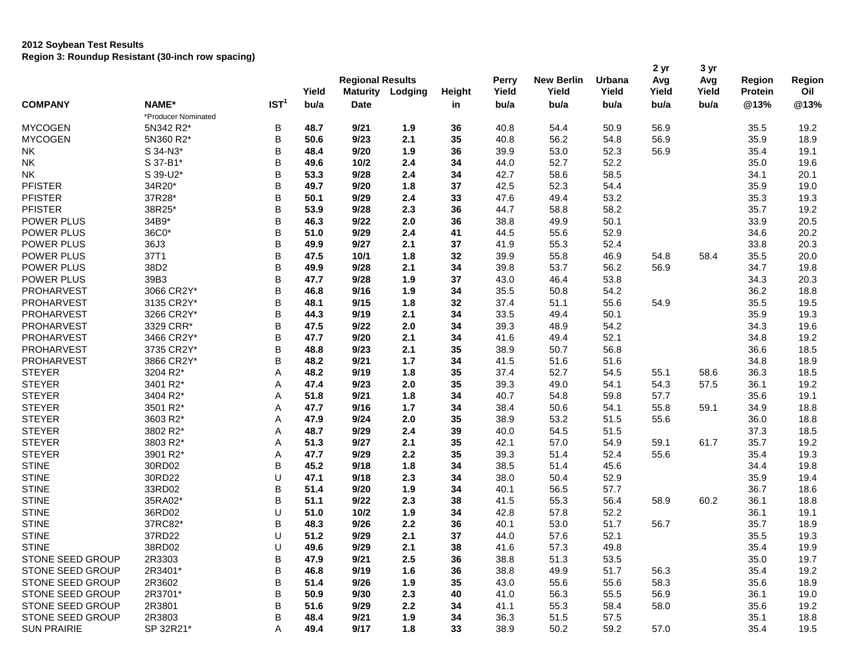|                    |                          |                  |       | <b>Regional Results</b><br><b>Maturity</b><br>Lodging |       |        | Perry        | <b>New Berlin</b> | Urbana<br>Yield | 2 yr<br>Avg | 3 yr<br>Avg<br>Yield | <b>Region</b><br><b>Protein</b> | Region<br>Oil |
|--------------------|--------------------------|------------------|-------|-------------------------------------------------------|-------|--------|--------------|-------------------|-----------------|-------------|----------------------|---------------------------------|---------------|
| <b>COMPANY</b>     |                          |                  | Yield |                                                       |       | Height | Yield        | Yield             |                 | Yield       |                      |                                 |               |
|                    | NAME*                    | IST <sup>1</sup> | bu/a  | <b>Date</b>                                           |       | in     | bu/a         | bu/a              | bu/a            | bu/a        |                      | @13%                            | @13%          |
|                    | *Producer Nominated      |                  |       |                                                       |       |        |              |                   |                 |             | bu/a                 |                                 |               |
| <b>MYCOGEN</b>     | 5N342 R2*                | В                | 48.7  | 9/21                                                  | 1.9   | 36     | 40.8         | 54.4              | 50.9            | 56.9        |                      | 35.5                            | 19.2          |
| <b>MYCOGEN</b>     | 5N360 R2*                | В                | 50.6  | 9/23                                                  | 2.1   | 35     | 40.8         | 56.2              | 54.8            | 56.9        |                      | 35.9                            | 18.9          |
| <b>NK</b>          | S 34-N3*                 | B                | 48.4  | 9/20                                                  | 1.9   | 36     | 39.9         | 53.0              | 52.3            | 56.9        |                      | 35.4                            | 19.1          |
| <b>NK</b>          | S 37-B1*                 | В                | 49.6  | 10/2                                                  | 2.4   | 34     | 44.0         | 52.7              | 52.2            |             |                      | 35.0                            | 19.6          |
| <b>NK</b>          | S 39-U2*                 | В                | 53.3  | 9/28                                                  | 2.4   | 34     | 42.7         | 58.6              | 58.5            |             |                      | 34.1                            | 20.1          |
| <b>PFISTER</b>     | 34R20*                   | B                | 49.7  | 9/20                                                  | 1.8   | 37     | 42.5         | 52.3              | 54.4            |             |                      | 35.9                            | 19.0          |
| <b>PFISTER</b>     | 37R28*                   | B                | 50.1  | 9/29                                                  | 2.4   | 33     | 47.6         | 49.4              | 53.2            |             |                      | 35.3                            | 19.3          |
| <b>PFISTER</b>     | 38R25*                   | В                | 53.9  | 9/28                                                  | 2.3   | 36     | 44.7         | 58.8              | 58.2            |             |                      | 35.7                            | 19.2          |
| POWER PLUS         | 34B9*                    | B                | 46.3  | 9/22                                                  | 2.0   | 36     | 38.8         | 49.9              | 50.1            |             |                      | 33.9                            | 20.5          |
| POWER PLUS         | 36C0*                    | B                | 51.0  | 9/29                                                  | 2.4   | 41     | 44.5         |                   | 52.9            |             |                      |                                 | 20.2          |
| POWER PLUS         | 36J3                     | B                | 49.9  | 9/27                                                  | 2.1   | 37     |              | 55.6<br>55.3      | 52.4            |             |                      | 34.6<br>33.8                    | 20.3          |
| POWER PLUS         | 37T1                     | В                | 47.5  | 10/1                                                  | 1.8   | 32     | 41.9<br>39.9 | 55.8              | 46.9            | 54.8        | 58.4                 | 35.5                            | 20.0          |
|                    |                          | B                | 49.9  |                                                       |       |        |              |                   |                 |             |                      |                                 |               |
| POWER PLUS         | 38D2                     |                  |       | 9/28                                                  | 2.1   | 34     | 39.8         | 53.7              | 56.2            | 56.9        |                      | 34.7                            | 19.8          |
| POWER PLUS         | 39B3                     | В                | 47.7  | 9/28                                                  | 1.9   | 37     | 43.0         | 46.4              | 53.8            |             |                      | 34.3                            | 20.3          |
| PROHARVEST         | 3066 CR2Y*<br>3135 CR2Y* | B<br>B           | 46.8  | 9/16                                                  | 1.9   | 34     | 35.5         | 50.8              | 54.2            |             |                      | 36.2                            | 18.8          |
| <b>PROHARVEST</b>  | 3266 CR2Y*               |                  | 48.1  | 9/15                                                  | 1.8   | 32     | 37.4         | 51.1              | 55.6            | 54.9        |                      | 35.5                            | 19.5          |
| <b>PROHARVEST</b>  |                          | В                | 44.3  | 9/19                                                  | 2.1   | 34     | 33.5         | 49.4              | 50.1            |             |                      | 35.9                            | 19.3          |
| <b>PROHARVEST</b>  | 3329 CRR*                | В                | 47.5  | 9/22                                                  | 2.0   | 34     | 39.3         | 48.9              | 54.2            |             |                      | 34.3                            | 19.6          |
| PROHARVEST         | 3466 CR2Y*               | В                | 47.7  | 9/20                                                  | 2.1   | 34     | 41.6         | 49.4              | 52.1            |             |                      | 34.8                            | 19.2          |
| PROHARVEST         | 3735 CR2Y*               | В                | 48.8  | 9/23                                                  | 2.1   | 35     | 38.9         | 50.7              | 56.8            |             |                      | 36.6                            | 18.5          |
| PROHARVEST         | 3866 CR2Y*               | В                | 48.2  | 9/21                                                  | $1.7$ | 34     | 41.5         | 51.6              | 51.6            |             |                      | 34.8                            | 18.9          |
| <b>STEYER</b>      | 3204 R2*                 | Α                | 48.2  | 9/19                                                  | 1.8   | 35     | 37.4         | 52.7              | 54.5            | 55.1        | 58.6                 | 36.3                            | 18.5          |
| <b>STEYER</b>      | 3401 R2*                 | A                | 47.4  | 9/23                                                  | 2.0   | 35     | 39.3         | 49.0              | 54.1            | 54.3        | 57.5                 | 36.1                            | 19.2          |
| <b>STEYER</b>      | 3404 R2*                 | Α                | 51.8  | 9/21                                                  | 1.8   | 34     | 40.7         | 54.8              | 59.8            | 57.7        |                      | 35.6                            | 19.1          |
| <b>STEYER</b>      | 3501 R2*                 | Α                | 47.7  | 9/16                                                  | 1.7   | 34     | 38.4         | 50.6              | 54.1            | 55.8        | 59.1                 | 34.9                            | 18.8          |
| <b>STEYER</b>      | 3603 R2*                 | Α                | 47.9  | 9/24                                                  | 2.0   | 35     | 38.9         | 53.2              | 51.5            | 55.6        |                      | 36.0                            | 18.8          |
| <b>STEYER</b>      | 3802 R2*                 | A                | 48.7  | 9/29                                                  | 2.4   | 39     | 40.0         | 54.5              | 51.5            |             |                      | 37.3                            | 18.5          |
| <b>STEYER</b>      | 3803 R2*                 | Α                | 51.3  | 9/27                                                  | 2.1   | 35     | 42.1         | 57.0              | 54.9            | 59.1        | 61.7                 | 35.7                            | 19.2          |
| <b>STEYER</b>      | 3901 R2*                 | Α                | 47.7  | 9/29                                                  | 2.2   | 35     | 39.3         | 51.4              | 52.4            | 55.6        |                      | 35.4                            | 19.3          |
| <b>STINE</b>       | 30RD02                   | В                | 45.2  | 9/18                                                  | 1.8   | 34     | 38.5         | 51.4              | 45.6            |             |                      | 34.4                            | 19.8          |
| <b>STINE</b>       | 30RD22                   | U                | 47.1  | 9/18                                                  | 2.3   | 34     | 38.0         | 50.4              | 52.9            |             |                      | 35.9                            | 19.4          |
| <b>STINE</b>       | 33RD02                   | В                | 51.4  | 9/20                                                  | 1.9   | 34     | 40.1         | 56.5              | 57.7            |             |                      | 36.7                            | 18.6          |
| <b>STINE</b>       | 35RA02*                  | В                | 51.1  | 9/22                                                  | 2.3   | 38     | 41.5         | 55.3              | 56.4            | 58.9        | 60.2                 | 36.1                            | 18.8          |
| <b>STINE</b>       | 36RD02                   | U                | 51.0  | 10/2                                                  | 1.9   | 34     | 42.8         | 57.8              | 52.2            |             |                      | 36.1                            | 19.1          |
| <b>STINE</b>       | 37RC82*                  | B                | 48.3  | 9/26                                                  | 2.2   | 36     | 40.1         | 53.0              | 51.7            | 56.7        |                      | 35.7                            | 18.9          |
| <b>STINE</b>       | 37RD22                   | U                | 51.2  | 9/29                                                  | 2.1   | 37     | 44.0         | 57.6              | 52.1            |             |                      | 35.5                            | 19.3          |
| <b>STINE</b>       | 38RD02                   | U                | 49.6  | 9/29                                                  | 2.1   | 38     | 41.6         | 57.3              | 49.8            |             |                      | 35.4                            | 19.9          |
| STONE SEED GROUP   | 2R3303                   | В                | 47.9  | 9/21                                                  | 2.5   | 36     | 38.8         | 51.3              | 53.5            |             |                      | 35.0                            | 19.7          |
| STONE SEED GROUP   | 2R3401*                  | В                | 46.8  | 9/19                                                  | 1.6   | 36     | 38.8         | 49.9              | 51.7            | 56.3        |                      | 35.4                            | 19.2          |
| STONE SEED GROUP   | 2R3602                   | В                | 51.4  | 9/26                                                  | 1.9   | 35     | 43.0         | 55.6              | 55.6            | 58.3        |                      | 35.6                            | 18.9          |
| STONE SEED GROUP   | 2R3701*                  | В                | 50.9  | 9/30                                                  | 2.3   | 40     | 41.0         | 56.3              | 55.5            | 56.9        |                      | 36.1                            | 19.0          |
| STONE SEED GROUP   | 2R3801                   | В                | 51.6  | 9/29                                                  | 2.2   | 34     | 41.1         | 55.3              | 58.4            | 58.0        |                      | 35.6                            | 19.2          |
| STONE SEED GROUP   | 2R3803                   | В                | 48.4  | 9/21                                                  | 1.9   | 34     | 36.3         | 51.5              | 57.5            |             |                      | 35.1                            | 18.8          |
| <b>SUN PRAIRIE</b> | SP 32R21*                | Α                | 49.4  | 9/17                                                  | 1.8   | 33     | 38.9         | 50.2              | 59.2            | 57.0        |                      | 35.4                            | 19.5          |